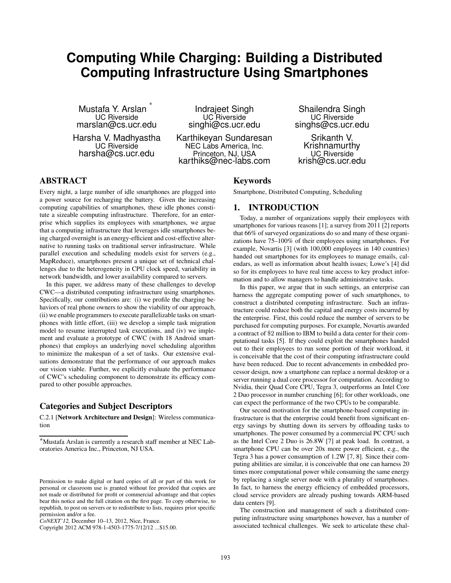# **Computing While Charging: Building a Distributed Computing Infrastructure Using Smartphones**

Mustafa Y. Arslan ∗ UC Riverside marslan@cs.ucr.edu

Harsha V. Madhyastha UC Riverside harsha@cs.ucr.edu

Indrajeet Singh UC<sup>'</sup>Riverside singhi@cs.ucr.edu

Karthikeyan Sundaresan NEC Labs America, Inc. Princeton, NJ, USA karthiks@nec-labs.com

Shailendra Singh UC Riverside singhs@cs.ucr.edu

Srikanth V. Krishnamurthy UC Riverside krish@cs.ucr.edu

# **ABSTRACT**

Every night, a large number of idle smartphones are plugged into a power source for recharging the battery. Given the increasing computing capabilities of smartphones, these idle phones constitute a sizeable computing infrastructure. Therefore, for an enterprise which supplies its employees with smartphones, we argue that a computing infrastructure that leverages idle smartphones being charged overnight is an energy-efficient and cost-effective alternative to running tasks on traditional server infrastructure. While parallel execution and scheduling models exist for servers (e.g., MapReduce), smartphones present a unique set of technical challenges due to the heterogeneity in CPU clock speed, variability in network bandwidth, and lower availability compared to servers.

In this paper, we address many of these challenges to develop CWC—a distributed computing infrastructure using smartphones. Specifically, our contributions are: (i) we profile the charging behaviors of real phone owners to show the viability of our approach, (ii) we enable programmers to execute parallelizable tasks on smartphones with little effort, (iii) we develop a simple task migration model to resume interrupted task executions, and (iv) we implement and evaluate a prototype of CWC (with 18 Android smartphones) that employs an underlying novel scheduling algorithm to minimize the makespan of a set of tasks. Our extensive evaluations demonstrate that the performance of our approach makes our vision viable. Further, we explicitly evaluate the performance of CWC's scheduling component to demonstrate its efficacy compared to other possible approaches.

## **Categories and Subject Descriptors**

C.2.1 [**Network Architecture and Design**]: Wireless communication

**Keywords**

Smartphone, Distributed Computing, Scheduling

### **1. INTRODUCTION**

Today, a number of organizations supply their employees with smartphones for various reasons [1]; a survey from 2011 [2] reports that 66% of surveyed organizations do so and many of these organizations have 75–100% of their employees using smartphones. For example, Novartis [3] (with 100,000 employees in 140 countries) handed out smartphones for its employees to manage emails, calendars, as well as information about health issues; Lowe's [4] did so for its employees to have real time access to key product information and to allow managers to handle administrative tasks.

In this paper, we argue that in such settings, an enterprise can harness the aggregate computing power of such smartphones, to construct a distributed computing infrastructure. Such an infrastructure could reduce both the capital and energy costs incurred by the enterprise. First, this could reduce the number of servers to be purchased for computing purposes. For example, Novartis awarded a contract of \$2 million to IBM to build a data center for their computational tasks [5]. If they could exploit the smartphones handed out to their employees to run some portion of their workload, it is conceivable that the cost of their computing infrastructure could have been reduced. Due to recent advancements in embedded processor design, now a smartphone can replace a normal desktop or a server running a dual core processor for computation. According to Nvidia, their Quad Core CPU, Tegra 3, outperforms an Intel Core 2 Duo processor in number crunching [6]; for other workloads, one can expect the performance of the two CPUs to be comparable.

Our second motivation for the smartphone-based computing infrastructure is that the enterprise could benefit from significant energy savings by shutting down its servers by offloading tasks to smartphones. The power consumed by a commercial PC CPU such as the Intel Core 2 Duo is 26.8W [7] at peak load. In contrast, a smartphone CPU can be over 20x more power efficient, e.g., the Tegra 3 has a power consumption of 1.2W [7, 8]. Since their computing abilities are similar, it is conceivable that one can harness 20 times more computational power while consuming the same energy by replacing a single server node with a plurality of smartphones. In fact, to harness the energy efficiency of embedded processors, cloud service providers are already pushing towards ARM-based data centers [9].

The construction and management of such a distributed computing infrastructure using smartphones however, has a number of associated technical challenges. We seek to articulate these chal-

<sup>∗</sup>Mustafa Arslan is currently a research staff member at NEC Laboratories America Inc., Princeton, NJ USA.

Permission to make digital or hard copies of all or part of this work for personal or classroom use is granted without fee provided that copies are not made or distributed for profit or commercial advantage and that copies bear this notice and the full citation on the first page. To copy otherwise, to republish, to post on servers or to redistribute to lists, requires prior specific permission and/or a fee.

*CoNEXT'12,* December 10–13, 2012, Nice, France.

Copyright 2012 ACM 978-1-4503-1775-7/12/12 ...\$15.00.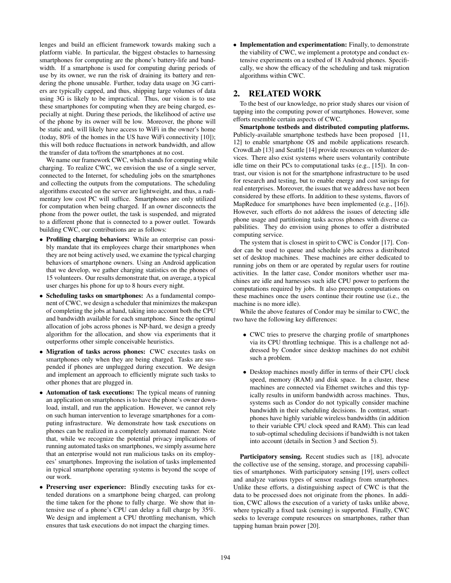lenges and build an efficient framework towards making such a platform viable. In particular, the biggest obstacles to harnessing smartphones for computing are the phone's battery-life and bandwidth. If a smartphone is used for computing during periods of use by its owner, we run the risk of draining its battery and rendering the phone unusable. Further, today data usage on 3G carriers are typically capped, and thus, shipping large volumes of data using 3G is likely to be impractical. Thus, our vision is to use these smartphones for computing when they are being charged, especially at night. During these periods, the likelihood of active use of the phone by its owner will be low. Moreover, the phone will be static and, will likely have access to WiFi in the owner's home (today, 80% of the homes in the US have WiFi connectivity [10]); this will both reduce fluctuations in network bandwidth, and allow the transfer of data to/from the smartphones at no cost.

We name our framework CWC, which stands for computing while charging. To realize CWC, we envision the use of a single server, connected to the Internet, for scheduling jobs on the smartphones and collecting the outputs from the computations. The scheduling algorithms executed on the server are lightweight, and thus, a rudimentary low cost PC will suffice. Smartphones are only utilized for computation when being charged. If an owner disconnects the phone from the power outlet, the task is suspended, and migrated to a different phone that is connected to a power outlet. Towards building CWC, our contributions are as follows:

- **Profiling charging behaviors:** While an enterprise can possibly mandate that its employees charge their smartphones when they are not being actively used, we examine the typical charging behaviors of smartphone owners. Using an Android application that we develop, we gather charging statistics on the phones of 15 volunteers. Our results demonstrate that, on average, a typical user charges his phone for up to 8 hours every night.
- **Scheduling tasks on smartphones:** As a fundamental component of CWC, we design a scheduler that minimizes the makespan of completing the jobs at hand, taking into account both the CPU and bandwidth available for each smartphone. Since the optimal allocation of jobs across phones is NP-hard, we design a greedy algorithm for the allocation, and show via experiments that it outperforms other simple conceivable heuristics.
- **Migration of tasks across phones:** CWC executes tasks on smartphones only when they are being charged. Tasks are suspended if phones are unplugged during execution. We design and implement an approach to efficiently migrate such tasks to other phones that are plugged in.
- **Automation of task executions:** The typical means of running an application on smartphones is to have the phone's owner download, install, and run the application. However, we cannot rely on such human intervention to leverage smartphones for a computing infrastructure. We demonstrate how task executions on phones can be realized in a completely automated manner. Note that, while we recognize the potential privacy implications of running automated tasks on smartphones, we simply assume here that an enterprise would not run malicious tasks on its employees' smartphones. Improving the isolation of tasks implemented in typical smartphone operating systems is beyond the scope of our work.
- **Preserving user experience:** Blindly executing tasks for extended durations on a smartphone being charged, can prolong the time taken for the phone to fully charge. We show that intensive use of a phone's CPU can delay a full charge by 35%. We design and implement a CPU throttling mechanism, which ensures that task executions do not impact the charging times.

• **Implementation and experimentation:** Finally, to demonstrate the viability of CWC, we implement a prototype and conduct extensive experiments on a testbed of 18 Android phones. Specifically, we show the efficacy of the scheduling and task migration algorithms within CWC.

## **2. RELATED WORK**

To the best of our knowledge, no prior study shares our vision of tapping into the computing power of smartphones. However, some efforts resemble certain aspects of CWC.

**Smartphone testbeds and distributed computing platforms.** Publicly-available smartphone testbeds have been proposed [11, 12] to enable smartphone OS and mobile applications research. CrowdLab [13] and Seattle [14] provide resources on volunteer devices. There also exist systems where users voluntarily contribute idle time on their PCs to computational tasks (e.g., [15]). In contrast, our vision is not for the smartphone infrastructure to be used for research and testing, but to enable energy and cost savings for real enterprises. Moreover, the issues that we address have not been considered by these efforts. In addition to these systems, flavors of MapReduce for smartphones have been implemented (e.g., [16]). However, such efforts do not address the issues of detecting idle phone usage and partitioning tasks across phones with diverse capabilities. They do envision using phones to offer a distributed computing service.

The system that is closest in spirit to CWC is Condor [17]. Condor can be used to queue and schedule jobs across a distributed set of desktop machines. These machines are either dedicated to running jobs on them or are operated by regular users for routine activities. In the latter case, Condor monitors whether user machines are idle and harnesses such idle CPU power to perform the computations required by jobs. It also preempts computations on these machines once the users continue their routine use (i.e., the machine is no more idle).

While the above features of Condor may be similar to CWC, the two have the following key differences:

- CWC tries to preserve the charging profile of smartphones via its CPU throttling technique. This is a challenge not addressed by Condor since desktop machines do not exhibit such a problem.
- Desktop machines mostly differ in terms of their CPU clock speed, memory (RAM) and disk space. In a cluster, these machines are connected via Ethernet switches and this typically results in uniform bandwidth across machines. Thus, systems such as Condor do not typically consider machine bandwidth in their scheduling decisions. In contrast, smartphones have highly variable wireless bandwidths (in addition to their variable CPU clock speed and RAM). This can lead to sub-optimal scheduling decisions if bandwidth is not taken into account (details in Section 3 and Section 5).

**Participatory sensing.** Recent studies such as [18], advocate the collective use of the sensing, storage, and processing capabilities of smartphones. With participatory sensing [19], users collect and analyze various types of sensor readings from smartphones. Unlike these efforts, a distinguishing aspect of CWC is that the data to be processed does not originate from the phones. In addition, CWC allows the execution of a variety of tasks unlike above, where typically a fixed task (sensing) is supported. Finally, CWC seeks to leverage compute resources on smartphones, rather than tapping human brain power [20].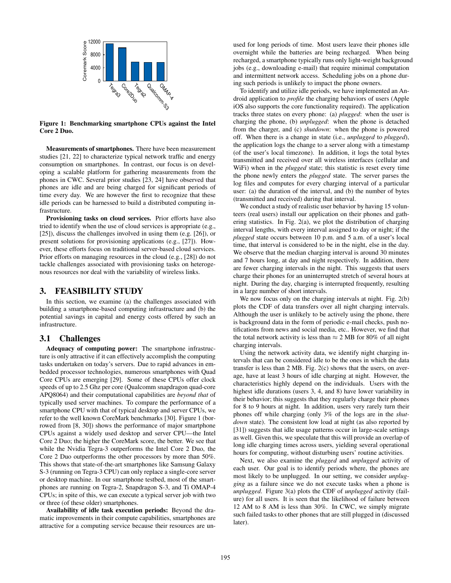

**Figure 1: Benchmarking smartphone CPUs against the Intel Core 2 Duo.**

**Measurements of smartphones.** There have been measurement studies [21, 22] to characterize typical network traffic and energy consumption on smartphones. In contrast, our focus is on developing a scalable platform for gathering measurements from the phones in CWC. Several prior studies [23, 24] have observed that phones are idle and are being charged for significant periods of time every day. We are however the first to recognize that these idle periods can be harnessed to build a distributed computing infrastructure.

**Provisioning tasks on cloud services.** Prior efforts have also tried to identify when the use of cloud services is appropriate (e.g., [25]), discuss the challenges involved in using them (e.g. [26]), or present solutions for provisioning applications (e.g., [27]). However, these efforts focus on traditional server-based cloud services. Prior efforts on managing resources in the cloud (e.g., [28]) do not tackle challenges associated with provisioning tasks on heterogenous resources nor deal with the variability of wireless links.

#### **3. FEASIBILITY STUDY**

In this section, we examine (a) the challenges associated with building a smartphone-based computing infrastructure and (b) the potential savings in capital and energy costs offered by such an infrastructure.

#### **3.1 Challenges**

**Adequacy of computing power:** The smartphone infrastructure is only attractive if it can effectively accomplish the computing tasks undertaken on today's servers. Due to rapid advances in embedded processor technologies, numerous smartphones with Quad Core CPUs are emerging [29]. Some of these CPUs offer clock speeds of up to 2.5 Ghz per core (Qualcomm snapdragon quad-core APQ8064) and their computational capabilities are *beyond that* of typically used server machines. To compare the performance of a smartphone CPU with that of typical desktop and server CPUs, we refer to the well known CoreMark benchmarks [30]. Figure 1 (borrowed from [8, 30]) shows the performance of major smartphone CPUs against a widely used desktop and server CPU—the Intel Core 2 Duo; the higher the CoreMark score, the better. We see that while the Nvidia Tegra-3 outperforms the Intel Core 2 Duo, the Core 2 Duo outperforms the other processors by more than 50%. This shows that state-of-the-art smartphones like Samsung Galaxy S-3 (running on Tegra-3 CPU) can only replace a single-core server or desktop machine. In our smartphone testbed, most of the smartphones are running on Tegra-2, Snapdragon S-3, and Ti OMAP-4 CPUs; in spite of this, we can execute a typical server job with two or three (of these older) smartphones.

**Availability of idle task execution periods:** Beyond the dramatic improvements in their compute capabilities, smartphones are attractive for a computing service because their resources are unused for long periods of time. Most users leave their phones idle overnight while the batteries are being recharged. When being recharged, a smartphone typically runs only light-weight background jobs (e.g., downloading e-mail) that require minimal computation and intermittent network access. Scheduling jobs on a phone during such periods is unlikely to impact the phone owners.

To identify and utilize idle periods, we have implemented an Android application to *profile* the charging behaviors of users (Apple iOS also supports the core functionality required). The application tracks three states on every phone: (a) *plugged*: when the user is charging the phone, (b) *unplugged*: when the phone is detached from the charger, and (c) *shutdown*: when the phone is powered off. When there is a change in state (i.e., *unplugged* to *plugged*), the application logs the change to a server along with a timestamp (of the user's local timezone). In addition, it logs the total bytes transmitted and received over all wireless interfaces (cellular and WiFi) when in the *plugged* state; this statistic is reset every time the phone newly enters the *plugged* state. The server parses the log files and computes for every charging interval of a particular user: (a) the duration of the interval, and (b) the number of bytes (transmitted and received) during that interval.

We conduct a study of realistic user behavior by having 15 volunteers (real users) install our application on their phones and gathering statistics. In Fig. 2(a), we plot the distribution of charging interval lengths, with every interval assigned to day or night; if the *plugged* state occurs between 10 p.m. and 5 a.m. of a user's local time, that interval is considered to be in the night, else in the day. We observe that the median charging interval is around 30 minutes and 7 hours long, at day and night respectively. In addition, there are fewer charging intervals in the night. This suggests that users charge their phones for an uninterrupted stretch of several hours at night. During the day, charging is interrupted frequently, resulting in a large number of short intervals.

We now focus only on the charging intervals at night. Fig. 2(b) plots the CDF of data transfers over all night charging intervals. Although the user is unlikely to be actively using the phone, there is background data in the form of periodic e-mail checks, push notifications from news and social media, etc.. However, we find that the total network activity is less than  $\approx$  2 MB for 80% of all night charging intervals.

Using the network activity data, we identify night charging intervals that can be considered idle to be the ones in which the data transfer is less than 2 MB. Fig. 2(c) shows that the users, on average, have at least 3 hours of idle charging at night. However, the characteristics highly depend on the individuals. Users with the highest idle durations (users 3, 4, and 8) have lower variability in their behavior; this suggests that they regularly charge their phones for 8 to 9 hours at night. In addition, users very rarely turn their phones off while charging (only 3% of the logs are in the *shutdown* state). The consistent low load at night (as also reported by [31]) suggests that idle usage patterns occur in large-scale settings as well. Given this, we speculate that this will provide an overlap of long idle charging times across users, yielding several operational hours for computing, without disturbing users' routine activities.

Next, we also examine the *plugged* and *unplugged* activity of each user. Our goal is to identify periods where, the phones are most likely to be unplugged. In our setting, we consider *unplugging* as a failure since we do not execute tasks when a phone is *unplugged*. Figure 3(a) plots the CDF of *unplugged* activity (failure) for all users. It is seen that the likelihood of failure between 12 AM to 8 AM is less than 30%. In CWC, we simply migrate such failed tasks to other phones that are still plugged in (discussed later).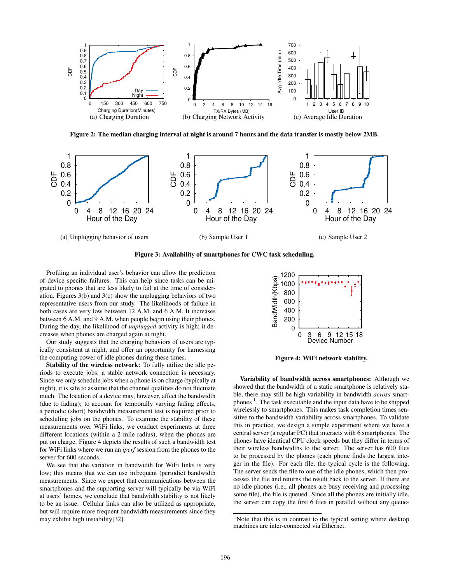

**Figure 2: The median charging interval at night is around 7 hours and the data transfer is mostly below 2MB.**



**Figure 3: Availability of smartphones for CWC task scheduling.**

Profiling an individual user's behavior can allow the prediction of device specific failures. This can help since tasks can be migrated to phones that are less likely to fail at the time of consideration. Figures 3(b) and 3(c) show the unplugging behaviors of two representative users from our study. The likelihoods of failure in both cases are very low between 12 A.M. and 6 A.M. It increases between 6 A.M. and 9 A.M. when people begin using their phones. During the day, the likelihood of *unplugged* activity is high; it decreases when phones are charged again at night.

Our study suggests that the charging behaviors of users are typically consistent at night, and offer an opportunity for harnessing the computing power of idle phones during these times.

**Stability of the wireless network:** To fully utilize the idle periods to execute jobs, a stable network connection is necessary. Since we only schedule jobs when a phone is on charge (typically at night), it is safe to assume that the channel qualities do not fluctuate much. The location of a device may, however, affect the bandwidth (due to fading); to account for temporally varying fading effects, a periodic (short) bandwidth measurement test is required prior to scheduling jobs on the phones. To examine the stability of these measurements over WiFi links, we conduct experiments at three different locations (within a 2 mile radius), when the phones are put on charge. Figure 4 depicts the results of such a bandwidth test for WiFi links where we run an *iperf* session from the phones to the server for 600 seconds.

We see that the variation in bandwidth for WiFi links is very low; this means that we can use infrequent (periodic) bandwidth measurements. Since we expect that communications between the smartphones and the supporting server will typically be via WiFi at users' homes, we conclude that bandwidth stability is not likely to be an issue. Cellular links can also be utilized as appropriate, but will require more frequent bandwidth measurements since they may exhibit high instability[32].



**Figure 4: WiFi network stability.**

**Variability of bandwidth across smartphones:** Although we showed that the bandwidth of a static smartphone is relatively stable, there may still be high variability in bandwidth *across* smartphones<sup>1</sup>. The task executable and the input data have to be shipped wirelessly to smartphones. This makes task completion times sensitive to the bandwidth variability across smartphones. To validate this in practice, we design a simple experiment where we have a central server (a regular PC) that interacts with 6 smartphones. The phones have identical CPU clock speeds but they differ in terms of their wireless bandwidths to the server. The server has 600 files to be processed by the phones (each phone finds the largest integer in the file). For each file, the typical cycle is the following. The server sends the file to one of the idle phones, which then processes the file and returns the result back to the server. If there are no idle phones (i.e., all phones are busy receiving and processing some file), the file is queued. Since all the phones are initially idle, the server can copy the first 6 files in parallel without any queue-

 $1$ Note that this is in contrast to the typical setting where desktop machines are inter-connected via Ethernet.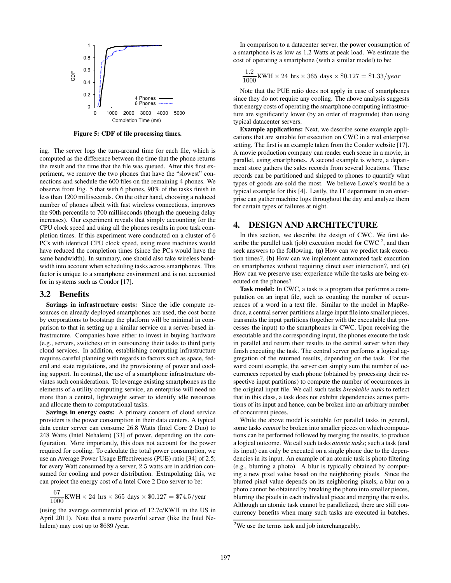

**Figure 5: CDF of file processing times.**

ing. The server logs the turn-around time for each file, which is computed as the difference between the time that the phone returns the result and the time that the file was queued. After this first experiment, we remove the two phones that have the "slowest" connections and schedule the 600 files on the remaining 4 phones. We observe from Fig. 5 that with 6 phones, 90% of the tasks finish in less than 1200 milliseconds. On the other hand, choosing a reduced number of phones albeit with fast wireless connections, improves the 90th percentile to 700 milliseconds (though the queueing delay increases). Our experiment reveals that simply accounting for the CPU clock speed and using all the phones results in poor task completion times. If this experiment were conducted on a cluster of 6 PCs with identical CPU clock speed, using more machines would have reduced the completion times (since the PCs would have the same bandwidth). In summary, one should also take wireless bandwidth into account when scheduling tasks across smartphones. This factor is unique to a smartphone environment and is not accounted for in systems such as Condor [17].

#### **3.2 Benefits**

**Savings in infrastructure costs:** Since the idle compute resources on already deployed smartphones are used, the cost borne by corporations to bootstrap the platform will be minimal in comparison to that in setting up a similar service on a server-based infrastructure. Companies have either to invest in buying hardware (e.g., servers, switches) or in outsourcing their tasks to third party cloud services. In addition, establishing computing infrastructure requires careful planning with regards to factors such as space, federal and state regulations, and the provisioning of power and cooling support. In contrast, the use of a smartphone infrastructure obviates such considerations. To leverage existing smartphones as the elements of a utility computing service, an enterprise will need no more than a central, lightweight server to identify idle resources and allocate them to computational tasks.

**Savings in energy costs:** A primary concern of cloud service providers is the power consumption in their data centers. A typical data center server can consume 26.8 Watts (Intel Core 2 Duo) to 248 Watts (Intel Nehalem) [33] of power, depending on the configuration. More importantly, this does not account for the power required for cooling. To calculate the total power consumption, we use an Average Power Usage Effectiveness (PUE) ratio [34] of 2.5; for every Watt consumed by a server, 2.5 watts are in addition consumed for cooling and power distribution. Extrapolating this, we can project the energy cost of a Intel Core 2 Duo server to be:

67  $\frac{0.000}{1000}$  KWH  $\times$  24 hrs  $\times$  365 days  $\times$  \$0.127 = \$74.5/year

(using the average commercial price of 12.7c/KWH in the US in April 2011). Note that a more powerful server (like the Intel Nehalem) may cost up to \$689 /year.

In comparison to a datacenter server, the power consumption of a smartphone is as low as 1.2 Watts at peak load. We estimate the cost of operating a smartphone (with a similar model) to be:

$$
\frac{1.2}{1000}
$$
 KWH × 24 hrs × 365 days × \$0.127 = \$1.33/year

Note that the PUE ratio does not apply in case of smartphones since they do not require any cooling. The above analysis suggests that energy costs of operating the smartphone computing infrastructure are significantly lower (by an order of magnitude) than using typical datacenter servers.

**Example applications:** Next, we describe some example applications that are suitable for execution on CWC in a real enterprise setting. The first is an example taken from the Condor website [17]. A movie production company can render each scene in a movie, in parallel, using smartphones. A second example is where, a department store gathers the sales records from several locations. These records can be partitioned and shipped to phones to quantify what types of goods are sold the most. We believe Lowe's would be a typical example for this [4]. Lastly, the IT department in an enterprise can gather machine logs throughout the day and analyze them for certain types of failures at night.

#### **4. DESIGN AND ARCHITECTURE**

In this section, we describe the design of CWC. We first describe the parallel task (job) execution model for  $CWC<sup>2</sup>$ , and then seek answers to the following. **(a)** How can we predict task execution times?, **(b)** How can we implement automated task execution on smartphones without requiring direct user interaction?, and **(c)** How can we preserve user experience while the tasks are being executed on the phones?

**Task model:** In CWC, a task is a program that performs a computation on an input file, such as counting the number of occurrences of a word in a text file. Similar to the model in MapReduce, a central server partitions a large input file into smaller pieces, transmits the input partitions (together with the executable that processes the input) to the smartphones in CWC. Upon receiving the executable and the corresponding input, the phones execute the task in parallel and return their results to the central server when they finish executing the task. The central server performs a logical aggregation of the returned results, depending on the task. For the word count example, the server can simply sum the number of occurrences reported by each phone (obtained by processing their respective input partitions) to compute the number of occurrences in the original input file. We call such tasks *breakable tasks* to reflect that in this class, a task does not exhibit dependencies across partitions of its input and hence, can be broken into an arbitrary number of concurrent pieces.

While the above model is suitable for parallel tasks in general, some tasks *cannot* be broken into smaller pieces on which computations can be performed followed by merging the results, to produce a logical outcome. We call such tasks *atomic tasks*; such a task (and its input) can only be executed on a single phone due to the dependencies in its input. An example of an atomic task is photo filtering (e.g., blurring a photo). A blur is typically obtained by computing a new pixel value based on the neighboring pixels. Since the blurred pixel value depends on its neighboring pixels, a blur on a photo cannot be obtained by breaking the photo into smaller pieces, blurring the pixels in each individual piece and merging the results. Although an atomic task cannot be parallelized, there are still concurrency benefits when many such tasks are executed in batches.

<sup>&</sup>lt;sup>2</sup>We use the terms task and job interchangeably.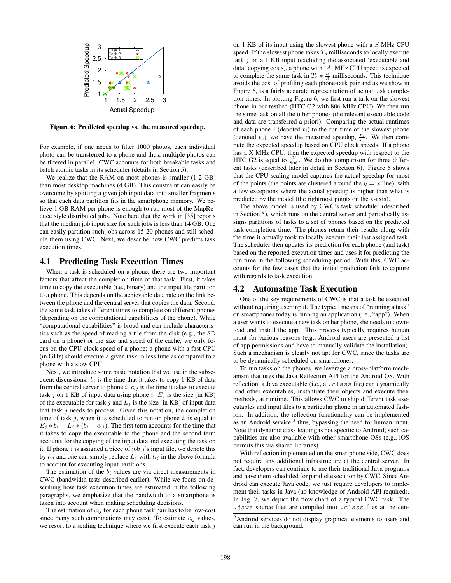

**Figure 6: Predicted speedup vs. the measured speedup.**

For example, if one needs to filter 1000 photos, each individual photo can be transferred to a phone and thus, multiple photos can be filtered in parallel. CWC accounts for both breakable tasks and batch atomic tasks in its scheduler (details in Section 5).

We realize that the RAM on most phones is smaller (1-2 GB) than most desktop machines (4 GB). This constraint can easily be overcome by splitting a given job input data into smaller fragments so that each data partition fits in the smartphone memory. We believe 1 GB RAM per phone is enough to run most of the MapReduce style distributed jobs. Note here that the work in [35] reports that the median job input size for such jobs is less than 14 GB. One can easily partition such jobs across 15-20 phones and still schedule them using CWC. Next, we describe how CWC predicts task execution times.

#### **4.1 Predicting Task Execution Times**

When a task is scheduled on a phone, there are two important factors that affect the completion time of that task. First, it takes time to copy the executable (i.e., binary) and the input file partition to a phone. This depends on the achievable data rate on the link between the phone and the central server that copies the data. Second, the same task takes different times to complete on different phones (depending on the computational capabilities of the phone). While "computational capabilities" is broad and can include characteristics such as the speed of reading a file from the disk (e.g., the SD card on a phone) or the size and speed of the cache, we only focus on the CPU clock speed of a phone; a phone with a fast CPU (in GHz) should execute a given task in less time as compared to a phone with a slow CPU.

Next, we introduce some basic notation that we use in the subsequent discussions.  $b_i$  is the time that it takes to copy 1 KB of data from the central server to phone  $i. c_{ij}$  is the time it takes to execute task j on 1 KB of input data using phone i.  $E_j$  is the size (in KB) of the executable for task j and  $L_j$  is the size (in KB) of input data that task  $j$  needs to process. Given this notation, the completion time of task  $j$ , when it is scheduled to run on phone  $i$ , is equal to  $E_i * b_i + L_i * (b_i + c_{ij})$ . The first term accounts for the time that it takes to copy the executable to the phone and the second term accounts for the copying of the input data and executing the task on it. If phone  $i$  is assigned a piece of job  $j$ 's input file, we denote this by  $l_{ij}$  and one can simply replace  $L_j$  with  $l_{ij}$  in the above formula to account for executing input partitions.

The estimation of the  $b_i$  values are via direct measurements in CWC (bandwidth tests described earlier). While we focus on describing how task execution times are estimated in the following paragraphs, we emphasize that the bandwidth to a smartphone is taken into account when making scheduling decisions.

The estimation of  $c_{ij}$  for each phone task pair has to be low-cost since many such combinations may exist. To estimate  $c_{ij}$  values, we resort to a scaling technique where we first execute each task  $j$ 

on 1 KB of its input using the slowest phone with a S MHz CPU speed. If the slowest phone takes  $T_s$  milliseconds to locally execute task  $j$  on a 1 KB input (excluding the associated 'executable and data' copying costs), a phone with 'A' MHz CPU speed is expected to complete the same task in  $T_s * \frac{S}{A}$  milliseconds. This technique avoids the cost of profiling each phone-task pair and as we show in Figure 6, is a fairly accurate representation of actual task completion times. In plotting Figure 6, we first run a task on the slowest phone in our testbed (HTC G2 with 806 MHz CPU). We then run the same task on all the other phones (the relevant executable code and data are transferred a priori). Comparing the actual runtimes of each phone  $i$  (denoted  $t_i$ ) to the run time of the slowest phone (denoted  $t_s$ ), we have the measured speedup,  $\frac{t_s}{t_i}$ . We then compute the expected speedup based on CPU clock speeds. If a phone has a X MHz CPU, then the expected speedup with respect to the HTC G2 is equal to  $\frac{X}{806}$ . We do this comparison for three different tasks (described later in detail in Section 6). Figure 6 shows that the CPU scaling model captures the actual speedup for most of the points (the points are clustered around the  $y = x$  line), with a few exceptions where the actual speedup is higher than what is predicted by the model (the rightmost points on the x-axis).

The above model is used by CWC's task scheduler (described in Section 5), which runs on the central server and periodically assigns partitions of tasks to a set of phones based on the predicted task completion time. The phones return their results along with the time it actually took to locally execute their last assigned task. The scheduler then updates its prediction for each phone (and task) based on the reported execution times and uses it for predicting the run time in the following scheduling period. With this, CWC accounts for the few cases that the initial prediction fails to capture with regards to task execution.

#### **4.2 Automating Task Execution**

One of the key requirements of CWC is that a task be executed without requiring user input. The typical means of "running a task" on smartphones today is running an application (i.e., "app"). When a user wants to execute a new task on her phone, she needs to download and install the app. This process typically requires human input for various reasons (e.g., Android users are presented a list of app permissions and have to manually validate the installation). Such a mechanism is clearly not apt for CWC, since the tasks are to be dynamically scheduled on smartphones.

To run tasks on the phones, we leverage a cross-platform mechanism that uses the Java Reflection API for the Android OS. With reflection, a Java executable (i.e., a .class file) can dynamically load other executables, instantiate their objects and execute their methods, at runtime. This allows CWC to ship different task executables and input files to a particular phone in an automated fashion. In addition, the reflection functionality can be implemented as an Android service  $3$  thus, bypassing the need for human input. Note that dynamic class loading is not specific to Android; such capabilities are also available with other smartphone OSs (e.g., iOS permits this via shared libraries).

With reflection implemented on the smartphone side, CWC does not require any additional infrastructure at the central server. In fact, developers can continue to use their traditional Java programs and have them scheduled for parallel execution by CWC. Since Android can execute Java code, we just require developers to implement their tasks in Java (no knowledge of Android API required). In Fig. 7, we depict the flow chart of a typical CWC task. The .java source files are compiled into .class files at the cen-

<sup>&</sup>lt;sup>3</sup>Android services do not display graphical elements to users and can run in the background.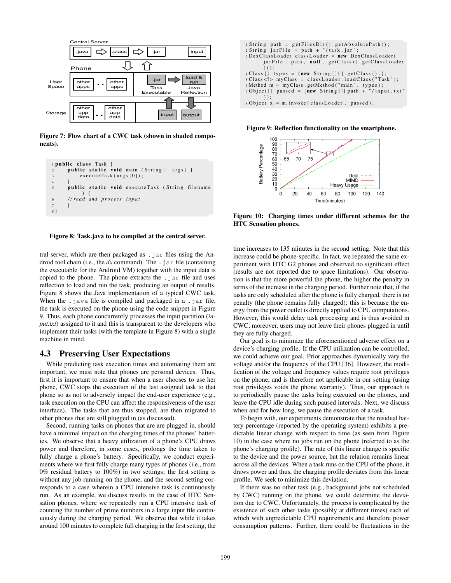

**Figure 7: Flow chart of a CWC task (shown in shaded components).**



**Figure 8: Task.java to be compiled at the central server.**

tral server, which are then packaged as .jar files using the Android tool chain (i.e., the  $dx$  command). The  $\cdot$  jar file (containing the executable for the Android VM) together with the input data is copied to the phone. The phone extracts the  $\cdot$  jar file and uses reflection to load and run the task, producing an output of results. Figure 8 shows the Java implementation of a typical CWC task. When the  $\cdot$  java file is compiled and packaged in a  $\cdot$  jar file, the task is executed on the phone using the code snippet in Figure 9. Thus, each phone concurrently processes the input partition (*input.txt*) assigned to it and this is transparent to the developers who implement their tasks (with the template in Figure 8) with a single machine in mind.

## **4.3 Preserving User Expectations**

While predicting task execution times and automating them are important, we must note that phones are personal devices. Thus, first it is important to ensure that when a user chooses to use her phone, CWC stops the execution of the last assigned task to that phone so as not to adversely impact the end-user experience (e.g., task execution on the CPU can affect the responsiveness of the user interface). The tasks that are thus stopped, are then migrated to other phones that are still plugged in (as discussed).

Second, running tasks on phones that are are plugged in, should have a minimal impact on the charging times of the phones' batteries. We observe that a heavy utilization of a phone's CPU draws power and therefore, in some cases, prolongs the time taken to fully charge a phone's battery. Specifically, we conduct experiments where we first fully charge many types of phones (i.e., from 0% residual battery to 100%) in two settings; the first setting is without any job running on the phone, and the second setting corresponds to a case wherein a CPU intensive task is continuously run. As an example, we discuss results in the case of HTC Sensation phones, where we repeatedly run a CPU intensive task of counting the number of prime numbers in a large input file continuously during the charging period. We observe that while it takes around 100 minutes to complete full charging in the first setting, the

| $1 String path = getFilesDir() . getAbsolutePath();$               |
|--------------------------------------------------------------------|
| $2 String jarFile = path + "/task.jar";$                           |
| 3DexClassLoader classLoader = new DexClassLoader                   |
| jarFile, path, null, getClass().getClassLoader                     |
| $()$ :                                                             |
| $4 Class []$ types = {new String $[]$ }. getClass(), };            |
| $5 Class < ?$ myClass = classLoader.loadClass("Task");             |
| $6$ Method m = myClass.getMethod("main", types);                   |
| $7 \text{ Object}$ [] passed = {new String []{ path + "/input.txt" |
| $\{\}$ :                                                           |
| $8 \text{ Object } x = m \text{.}$ invoke (classLoader, passed);   |

**Figure 9: Reflection functionality on the smartphone.**



**Figure 10: Charging times under different schemes for the HTC Sensation phones.**

time increases to 135 minutes in the second setting. Note that this increase could be phone-specific. In fact, we repeated the same experiment with HTC G2 phones and observed no significant effect (results are not reported due to space limitations). Our observation is that the more powerful the phone, the higher the penalty in terms of the increase in the charging period. Further note that, if the tasks are only scheduled after the phone is fully charged, there is no penalty (the phone remains fully charged); this is because the energy from the power outlet is directly applied to CPU computations. However, this would delay task processing and is thus avoided in CWC; moreover, users may not leave their phones plugged in until they are fully charged.

Our goal is to minimize the aforementioned adverse effect on a device's charging profile. If the CPU utilization can be controlled, we could achieve our goal. Prior approaches dynamically vary the voltage and/or the frequency of the CPU [36]. However, the modification of the voltage and frequency values require root privileges on the phone, and is therefore not applicable in our setting (using root privileges voids the phone warranty). Thus, our approach is to periodically pause the tasks being executed on the phones, and leave the CPU idle during such paused intervals. Next, we discuss when and for how long, we pause the execution of a task.

To begin with, our experiments demonstrate that the residual battery percentage (reported by the operating system) exhibits a predictable linear change with respect to time (as seen from Figure 10) in the case where no jobs run on the phone (referred to as the phone's charging profile). The rate of this linear change is specific to the device and the power source, but the relation remains linear across all the devices. When a task runs on the CPU of the phone, it draws power and thus, the charging profile deviates from this linear profile. We seek to minimize this deviation.

If there was no other task (e.g., background jobs not scheduled by CWC) running on the phone, we could determine the deviation due to CWC. Unfortunately, the process is complicated by the existence of such other tasks (possibly at different times) each of which with unpredictable CPU requirements and therefore power consumption patterns. Further, there could be fluctuations in the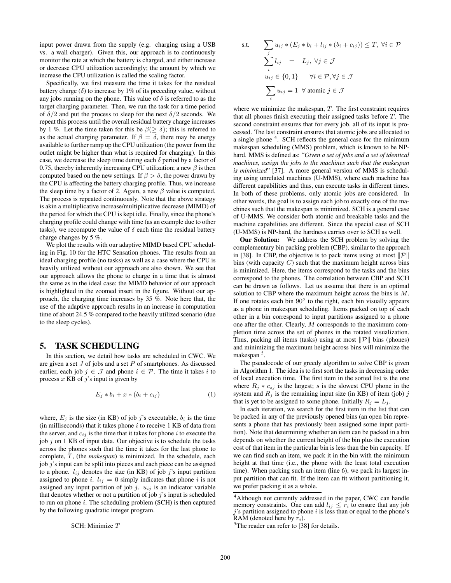input power drawn from the supply (e.g. charging using a USB vs. a wall charger). Given this, our approach is to continuously monitor the rate at which the battery is charged, and either increase or decrease CPU utilization accordingly; the amount by which we increase the CPU utilization is called the scaling factor.

Specifically, we first measure the time it takes for the residual battery charge  $(\delta)$  to increase by 1% of its preceding value, without any jobs running on the phone. This value of  $\delta$  is referred to as the target charging parameter. Then, we run the task for a time period of  $\delta/2$  and put the process to sleep for the next  $\delta/2$  seconds. We repeat this process until the overall residual battery charge increases by 1 %. Let the time taken for this be  $\beta(\geq \delta)$ ; this is referred to as the actual charging parameter. If  $\beta = \delta$ , there may be energy available to further ramp up the CPU utilization (the power from the outlet might be higher than what is required for charging). In this case, we decrease the sleep time during each  $\delta$  period by a factor of 0.75, thereby inherently increasing CPU utilization; a new  $\beta$  is then computed based on the new settings. If  $\beta > \delta$ , the power drawn by the CPU is affecting the battery charging profile. Thus, we increase the sleep time by a factor of 2. Again, a new  $\beta$  value is computed. The process is repeated continuously. Note that the above strategy is akin a multiplicative increase/multiplicative decrease (MIMD) of the period for which the CPU is kept idle. Finally, since the phone's charging profile could change with time (as an example due to other tasks), we recompute the value of  $\delta$  each time the residual battery charge changes by 5 %.

We plot the results with our adaptive MIMD based CPU scheduling in Fig. 10 for the HTC Sensation phones. The results from an ideal charging profile (no tasks) as well as a case where the CPU is heavily utilized without our approach are also shown. We see that our approach allows the phone to charge in a time that is almost the same as in the ideal case; the MIMD behavior of our approach is highlighted in the zoomed insert in the figure. Without our approach, the charging time increases by 35 %. Note here that, the use of the adaptive approach results in an increase in computation time of about 24.5 % compared to the heavily utilized scenario (due to the sleep cycles).

#### **5. TASK SCHEDULING**

In this section, we detail how tasks are scheduled in CWC. We are given a set  $J$  of jobs and a set  $P$  of smartphones. As discussed earlier, each job  $j \in \mathcal{J}$  and phone  $i \in \mathcal{P}$ . The time it takes i to process  $x$  KB of  $j$ 's input is given by

$$
E_j * b_i + x * (b_i + c_{ij}) \tag{1}
$$

where,  $E_j$  is the size (in KB) of job j's executable,  $b_i$  is the time (in milliseconds) that it takes phone  $i$  to receive 1 KB of data from the server, and  $c_{ij}$  is the time that it takes for phone i to execute the job  $j$  on 1 KB of input data. Our objective is to schedule the tasks across the phones such that the time it takes for the last phone to complete, T, (the *makespan*) is minimized. In the schedule, each job j's input can be split into pieces and each piece can be assigned to a phone.  $l_{ij}$  denotes the size (in KB) of job j's input partition assigned to phone i.  $l_{ij} = 0$  simply indicates that phone i is not assigned any input partition of job j.  $u_{ij}$  is an indicator variable that denotes whether or not a partition of job  $j$ 's input is scheduled to run on phone  $i$ . The scheduling problem (SCH) is then captured by the following quadratic integer program.

SCH: Minimize T

s.t. 
$$
\sum_{j} u_{ij} * (E_j * b_i + l_{ij} * (b_i + c_{ij})) \leq T, \forall i \in \mathcal{P}
$$

$$
\sum_{i} l_{ij} = L_j, \forall j \in \mathcal{J}
$$

$$
u_{ij} \in \{0, 1\} \quad \forall i \in \mathcal{P}, \forall j \in \mathcal{J}
$$

$$
\sum_{i} u_{ij} = 1 \quad \forall \text{ atomic } j \in \mathcal{J}
$$

where we minimize the makespan,  $T$ . The first constraint requires that all phones finish executing their assigned tasks before  $T$ . The second constraint ensures that for every job, all of its input is processed. The last constraint ensures that atomic jobs are allocated to a single phone<sup>4</sup>. SCH reflects the general case for the minimum makespan scheduling (MMS) problem, which is known to be NPhard. MMS is defined as: "*Given a set of jobs and a set of identical machines, assign the jobs to the machines such that the makespan is minimized*" [37]. A more general version of MMS is scheduling using unrelated machines (U-MMS), where each machine has different capabilities and thus, can execute tasks in different times. In both of these problems, only atomic jobs are considered. In other words, the goal is to assign each job to exactly one of the machines such that the makespan is minimized. SCH is a general case of U-MMS. We consider both atomic and breakable tasks and the machine capabilities are different. Since the special case of SCH (U-MMS) is NP-hard, the hardness carries over to SCH as well.

**Our Solution:** We address the SCH problem by solving the complementary bin packing problem (CBP), similar to the approach in [38]. In CBP, the objective is to pack items using at most  $\|\mathcal{P}\|$ bins (with capacity  $C$ ) such that the maximum height across bins is minimized. Here, the items correspond to the tasks and the bins correspond to the phones. The correlation between CBP and SCH can be drawn as follows. Let us assume that there is an optimal solution to CBP where the maximum height across the bins is M. If one rotates each bin 90° to the right, each bin visually appears as a phone in makespan scheduling. Items packed on top of each other in a bin correspond to input partitions assigned to a phone one after the other. Clearly, M corresponds to the maximum completion time across the set of phones in the rotated visualization. Thus, packing all items (tasks) using at most  $\|\mathcal{P}\|$  bins (phones) and minimizing the maximum height across bins will minimize the makespan<sup>5</sup>.

The pseudocode of our greedy algorithm to solve CBP is given in Algorithm 1. The idea is to first sort the tasks in decreasing order of local execution time. The first item in the sorted list is the one where  $R_i * c_{s_i}$  is the largest; s is the slowest CPU phone in the system and  $R_i$  is the remaining input size (in KB) of item (job) j that is yet to be assigned to some phone. Initially  $R_i = L_i$ .

In each iteration, we search for the first item in the list that can be packed in any of the previously opened bins (an open bin represents a phone that has previously been assigned some input partition). Note that determining whether an item can be packed in a bin depends on whether the current height of the bin plus the execution cost of that item in the particular bin is less than the bin capacity. If we can find such an item, we pack it in the bin with the minimum height at that time (i.e., the phone with the least total execution time). When packing such an item (line 6), we pack its largest input partition that can fit. If the item can fit without partitioning it, we prefer packing it as a whole.

<sup>&</sup>lt;sup>4</sup>Although not currently addressed in the paper, CWC can handle memory constraints. One can add  $l_{ij} \leq r_i$  to ensure that any job j's partition assigned to phone i is less than or equal to the phone's RAM (denoted here by  $r_i$ ).

<sup>&</sup>lt;sup>5</sup>The reader can refer to [38] for details.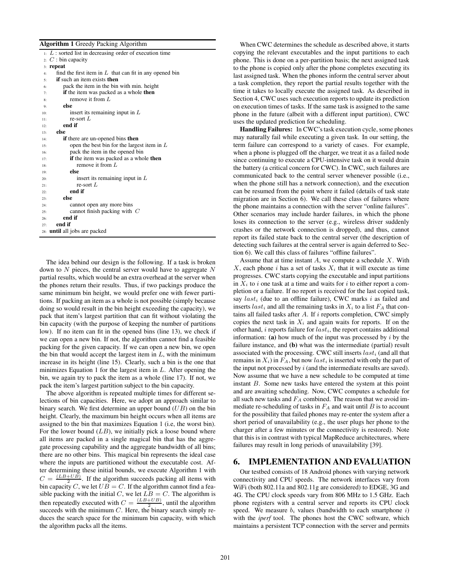#### **Algorithm 1** Greedy Packing Algorithm

|     | $\mu$ : L : sorted list in decreasing order of execution time |
|-----|---------------------------------------------------------------|
|     | 2: $C$ : bin capacity                                         |
| 3:  | repeat                                                        |
| 4:  | find the first item in $L$ that can fit in any opened bin     |
| 5:  | <b>if</b> such an item exists <b>then</b>                     |
| 6:  | pack the item in the bin with min. height                     |
| 7:  | <b>if</b> the item was packed as a whole <b>then</b>          |
| 8:  | remove it from $L$                                            |
| 9:  | else                                                          |
| 10: | insert its remaining input in $L$                             |
| 11: | re-sort $L$                                                   |
| 12: | end if                                                        |
| 13: | else                                                          |
| 14: | <b>if</b> there are un-opened bins <b>then</b>                |
| 15: | open the best bin for the largest item in $L$                 |
| 16: | pack the item in the opened bin                               |
| 17: | if the item was packed as a whole then                        |
| 18: | remove it from $L$                                            |
| 19: | else                                                          |
| 20: | insert its remaining input in $L$                             |
| 21: | re-sort $L$                                                   |
| 22: | end if                                                        |
| 23: | else                                                          |
| 24: | cannot open any more bins                                     |
| 25: | cannot finish packing with $C$                                |
| 26: | end if                                                        |
| 27: | end if                                                        |
|     | 28: <b>until</b> all jobs are packed                          |

The idea behind our design is the following. If a task is broken down to  $N$  pieces, the central server would have to aggregate  $N$ partial results, which would be an extra overhead at the server when the phones return their results. Thus, if two packings produce the same minimum bin height, we would prefer one with fewer partitions. If packing an item as a whole is not possible (simply because doing so would result in the bin height exceeding the capacity), we pack that item's largest partition that can fit without violating the bin capacity (with the purpose of keeping the number of partitions low). If no item can fit in the opened bins (line 13), we check if we can open a new bin. If not, the algorithm cannot find a feasible packing for the given capacity. If we can open a new bin, we open the bin that would accept the largest item in  $L$ , with the minimum increase in its height (line 15). Clearly, such a bin is the one that minimizes Equation 1 for the largest item in  $L$ . After opening the bin, we again try to pack the item as a whole (line 17). If not, we pack the item's largest partition subject to the bin capacity.

The above algorithm is repeated multiple times for different selections of bin capacities. Here, we adopt an approach similar to binary search. We first determine an upper bound  $(UB)$  on the bin height. Clearly, the maximum bin height occurs when all items are assigned to the bin that maximizes Equation 1 (i.e, the worst bin). For the lower bound  $(LB)$ , we initially pick a loose bound where all items are packed in a single magical bin that has the aggregate processing capability and the aggregate bandwidth of all bins; there are no other bins. This magical bin represents the ideal case where the inputs are partitioned without the executable cost. After determining these initial bounds, we execute Algorithm 1 with  $C = \frac{(LB+UB)}{2}$ . If the algorithm succeeds packing all items with bin capacity C, we let  $UB = C$ . If the algorithm cannot find a feasible packing with the initial C, we let  $LB = C$ . The algorithm is then repeatedly executed with  $C = \frac{(LB+UB)}{2}$ , until the algorithm succeeds with the minimum  $C$ . Here, the binary search simply reduces the search space for the minimum bin capacity, with which the algorithm packs all the items.

When CWC determines the schedule as described above, it starts copying the relevant executables and the input partitions to each phone. This is done on a per-partition basis; the next assigned task to the phone is copied only after the phone completes executing its last assigned task. When the phones inform the central server about a task completion, they report the partial results together with the time it takes to locally execute the assigned task. As described in Section 4, CWC uses such execution reports to update its prediction on execution times of tasks. If the same task is assigned to the same phone in the future (albeit with a different input partition), CWC uses the updated prediction for scheduling.

**Handling Failures:** In CWC's task execution cycle, some phones may naturally fail while executing a given task. In our setting, the term failure can correspond to a variety of cases. For example, when a phone is plugged off the charger, we treat it as a failed node since continuing to execute a CPU-intensive task on it would drain the battery (a critical concern for CWC). In CWC, such failures are communicated back to the central server whenever possible (i.e., when the phone still has a network connection), and the execution can be resumed from the point where it failed (details of task state migration are in Section 6). We call these class of failures where the phone maintains a connection with the server "online failures". Other scenarios may include harder failures, in which the phone loses its connection to the server (e.g., wireless driver suddenly crashes or the network connection is dropped), and thus, cannot report its failed state back to the central server (the description of detecting such failures at the central server is again deferred to Section 6). We call this class of failures "offline failures".

Assume that at time instant  $A$ , we compute a schedule  $X$ . With  $X$ , each phone i has a set of tasks  $X_i$  that it will execute as time progresses. CWC starts copying the executable and input partitions in  $X_i$  to i one task at a time and waits for i to either report a completion or a failure. If no report is received for the last copied task, say  $last_i$  (due to an offline failure), CWC marks i as failed and inserts  $last_i$  and all the remaining tasks in  $X_i$  to a list  $F_A$  that contains all failed tasks after  $A$ . If  $i$  reports completion, CWC simply copies the next task in  $X_i$  and again waits for reports. If on the other hand, i reports failure for  $last_i$ , the report contains additional information: **(a)** how much of the input was processed by i by the failure instance, and **(b)** what was the intermediate (partial) result associated with the processing. CWC still inserts  $last_i$  (and all that remains in  $X_i$ ) in  $F_A$ , but now last<sub>i</sub> is inserted with only the part of the input not processed by  $i$  (and the intermediate results are saved). Now assume that we have a new schedule to be computed at time instant B. Some new tasks have entered the system at this point and are awaiting scheduling. Now, CWC computes a schedule for all such new tasks and  $F_A$  combined. The reason that we avoid immediate re-scheduling of tasks in  $F_A$  and wait until  $B$  is to account for the possibility that failed phones may re-enter the system after a short period of unavailability (e.g., the user plugs her phone to the charger after a few minutes or the connectivity is restored). Note that this is in contrast with typical MapReduce architectures, where failures may result in long periods of unavailability [39].

## **6. IMPLEMENTATION AND EVALUATION**

Our testbed consists of 18 Android phones with varying network connectivity and CPU speeds. The network interfaces vary from WiFi (both 802.11a and 802.11g are considered) to EDGE, 3G and 4G. The CPU clock speeds vary from 806 MHz to 1.5 GHz. Each phone registers with a central server and reports its CPU clock speed. We measure  $b_i$  values (bandwidth to each smartphone  $i$ ) with the *iperf* tool. The phones host the CWC software, which maintains a persistent TCP connection with the server and permits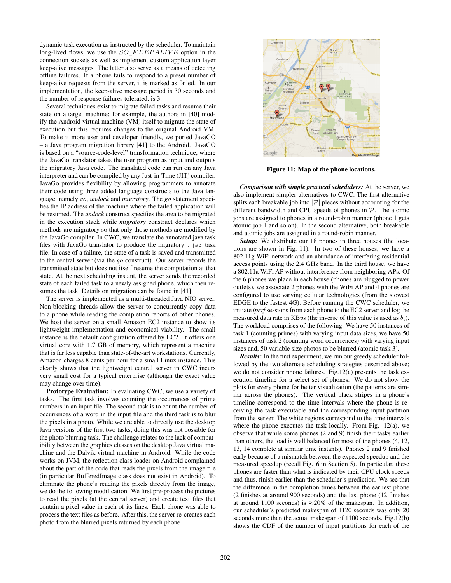dynamic task execution as instructed by the scheduler. To maintain long-lived flows, we use the  $SO\_KEEP ALIVE$  option in the connection sockets as well as implement custom application layer keep-alive messages. The latter also serve as a means of detecting offline failures. If a phone fails to respond to a preset number of keep-alive requests from the server, it is marked as failed. In our implementation, the keep-alive message period is 30 seconds and the number of response failures tolerated, is 3.

Several techniques exist to migrate failed tasks and resume their state on a target machine; for example, the authors in [40] modify the Android virtual machine (VM) itself to migrate the state of execution but this requires changes to the original Android VM. To make it more user and developer friendly, we ported JavaGO – a Java program migration library [41] to the Android. JavaGO is based on a "source-code-level" transformation technique, where the JavaGo translator takes the user program as input and outputs the migratory Java code. The translated code can run on any Java interpreter and can be compiled by any Just-in-Time (JIT) compiler. JavaGo provides flexibility by allowing programmers to annotate their code using three added language constructs to the Java language, namely *go*, *undock* and *migratory*. The *go* statement specifies the IP address of the machine where the failed application will be resumed. The *undock* construct specifies the area to be migrated in the execution stack while *migratory* construct declares which methods are migratory so that only those methods are modified by the JavaGo compiler. In CWC, we translate the annotated java task files with JavaGo translator to produce the migratory . jar task file. In case of a failure, the state of a task is saved and transmitted to the central server (via the *go* construct). Our server records the transmitted state but does not itself resume the computation at that state. At the next scheduling instant, the server sends the recorded state of each failed task to a newly assigned phone, which then resumes the task. Details on migration can be found in [41].

The server is implemented as a multi-threaded Java NIO server. Non-blocking threads allow the server to concurrently copy data to a phone while reading the completion reports of other phones. We host the server on a small Amazon EC2 instance to show its lightweight implementation and economical viability. The small instance is the default configuration offered by EC2. It offers one virtual core with 1.7 GB of memory, which represent a machine that is far less capable than state-of-the-art workstations. Currently, Amazon charges 8 cents per hour for a small Linux instance. This clearly shows that the lightweight central server in CWC incurs very small cost for a typical enterprise (although the exact value may change over time).

**Prototype Evaluation:** In evaluating CWC, we use a variety of tasks. The first task involves counting the occurrences of prime numbers in an input file. The second task is to count the number of occurrences of a word in the input file and the third task is to blur the pixels in a photo. While we are able to directly use the desktop Java versions of the first two tasks, doing this was not possible for the photo blurring task. The challenge relates to the lack of compatibility between the graphics classes on the desktop Java virtual machine and the Dalvik virtual machine in Android. While the code works on JVM, the reflection class loader on Android complained about the part of the code that reads the pixels from the image file (in particular BufferedImage class does not exist in Android). To eliminate the phone's reading the pixels directly from the image, we do the following modification. We first pre-process the pictures to read the pixels (at the central server) and create text files that contain a pixel value in each of its lines. Each phone was able to process the text files as before. After this, the server re-creates each photo from the blurred pixels returned by each phone.



**Figure 11: Map of the phone locations.**

*Comparison with simple practical schedulers:* At the server, we also implement simpler alternatives to CWC. The first alternative splits each breakable job into  $|\mathcal{P}|$  pieces without accounting for the different bandwidth and CPU speeds of phones in  $P$ . The atomic jobs are assigned to phones in a round-robin manner (phone 1 gets atomic job 1 and so on). In the second alternative, both breakable and atomic jobs are assigned in a round-robin manner.

*Setup:* We distribute our 18 phones in three houses (the locations are shown in Fig. 11). In two of these houses, we have a 802.11g WiFi network and an abundance of interfering residential access points using the 2.4 GHz band. In the third house, we have a 802.11a WiFi AP without interference from neighboring APs. Of the 6 phones we place in each house (phones are plugged to power outlets), we associate 2 phones with the WiFi AP and 4 phones are configured to use varying cellular technologies (from the slowest EDGE to the fastest 4G). Before running the CWC scheduler, we initiate *iperf* sessions from each phone to the EC2 server and log the measured data rate in KBps (the inverse of this value is used as  $b_i$ ). The workload comprises of the following. We have 50 instances of task 1 (counting primes) with varying input data sizes, we have 50 instances of task 2 (counting word occurrences) with varying input sizes and, 50 variable size photos to be blurred (atomic task 3).

*Results:* In the first experiment, we run our greedy scheduler followed by the two alternate scheduling strategies described above; we do not consider phone failures. Fig.12(a) presents the task execution timeline for a select set of phones. We do not show the plots for every phone for better visualization (the patterns are similar across the phones). The vertical black stripes in a phone's timeline correspond to the time intervals where the phone is receiving the task executable and the corresponding input partition from the server. The white regions correspond to the time intervals where the phone executes the task locally. From Fig. 12(a), we observe that while some phones (2 and 9) finish their tasks earlier than others, the load is well balanced for most of the phones (4, 12, 13, 14 complete at similar time instants). Phones 2 and 9 finished early because of a mismatch between the expected speedup and the measured speedup (recall Fig. 6 in Section 5). In particular, these phones are faster than what is indicated by their CPU clock speeds and thus, finish earlier than the scheduler's prediction. We see that the difference in the completion times between the earliest phone (2 finishes at around 900 seconds) and the last phone (12 finishes at around 1100 seconds) is  $\approx 20\%$  of the makespan. In addition, our scheduler's predicted makespan of 1120 seconds was only 20 seconds more than the actual makespan of 1100 seconds. Fig.12(b) shows the CDF of the number of input partitions for each of the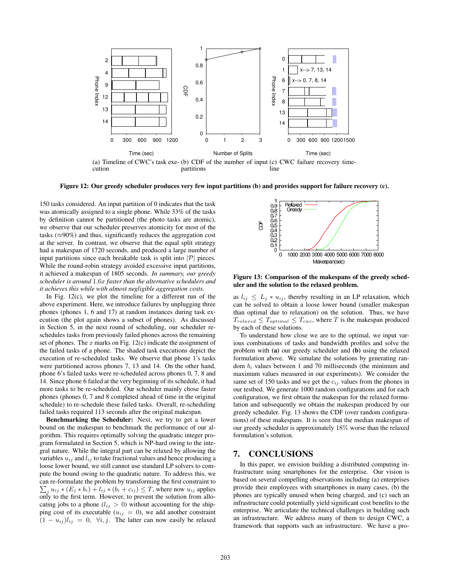

**Figure 12: Our greedy scheduler produces very few input partitions (b) and provides support for failure recovery (c).**

150 tasks considered. An input partition of 0 indicates that the task was atomically assigned to a single phone. While 33% of the tasks by definition cannot be partitioned (the photo tasks are atomic), we observe that our scheduler preserves atomicity for most of the tasks ( $\approx$ 90%) and thus, significantly reduces the aggregation cost at the server. In contrast, we observe that the equal split strategy had a makespan of 1720 seconds, and produced a large number of input partitions since each breakable task is split into  $|\mathcal{P}|$  pieces. While the round-robin strategy avoided excessive input partitions, it achieved a makespan of 1805 seconds. *In summary, our greedy scheduler is around* 1.6x *faster than the alternative schedulers and it achieves this while with almost negligible aggregation costs.*

In Fig.  $12(c)$ , we plot the timeline for a different run of the above experiment. Here, we introduce failures by unplugging three phones (phones 1, 6 and 17) at random instances during task execution (the plot again shows a subset of phones). As discussed in Section 5, in the next round of scheduling, our scheduler reschedules tasks from previously failed phones across the remaining set of phones. The  $x$  marks on Fig. 12(c) indicate the assignment of the failed tasks of a phone. The shaded task executions depict the execution of re-scheduled tasks. We observe that phone 1's tasks were partitioned across phones 7, 13 and 14. On the other hand, phone 6's failed tasks were re-scheduled across phones 0, 7, 8 and 14. Since phone 6 failed at the very beginning of its schedule, it had more tasks to be re-scheduled. Our scheduler mainly chose faster phones (phones 0, 7 and 8 completed ahead of time in the original schedule) to re-schedule these failed tasks. Overall, re-scheduling failed tasks required 113 seconds after the original makespan.

**Benchmarking the Scheduler:** Next, we try to get a lower bound on the makespan to benchmark the performance of our algorithm. This requires optimally solving the quadratic integer program formulated in Section 5, which is NP-hard owing to the integral nature. While the integral part can be relaxed by allowing the variables  $u_{ij}$  and  $l_{ij}$  to take fractional values and hence producing a loose lower bound, we still cannot use standard LP solvers to compute the bound owing to the quadratic nature. To address this, we can re-formulate the problem by transforming the first constraint to  $\sum_j u_{ij} * (E_j * b_i) + l_{ij} * (b_i + c_{ij}) \leq T$ , where now  $u_{ij}$  applies only to the first term. However, to prevent the solution from allocating jobs to a phone  $(l_{ij} > 0)$  without accounting for the shipping cost of its executable ( $u_{ij} = 0$ ), we add another constraint  $(1 - u_{ij})l_{ij} = 0$ ,  $\forall i, j$ . The latter can now easily be relaxed



**Figure 13: Comparison of the makespans of the greedy scheduler and the solution to the relaxed problem.**

as  $l_{ij} \leq L_j * u_{ij}$ , thereby resulting in an LP relaxation, which can be solved to obtain a loose lower bound (smaller makespan than optimal due to relaxation) on the solution. Thus, we have  $T_{relaxed} \leq T_{optimal} \leq T_{cwc}$ , where T is the makespan produced by each of these solutions.

To understand how close we are to the optimal, we input various combinations of tasks and bandwidth profiles and solve the problem with **(a)** our greedy scheduler and **(b)** using the relaxed formulation above. We simulate the solutions by generating random  $b_i$  values between 1 and 70 milliseconds (the minimum and maximum values measured in our experiments). We consider the same set of 150 tasks and we get the  $c_{ij}$  values from the phones in our testbed. We generate 1000 random configurations and for each configuration, we first obtain the makespan for the relaxed formulation and subsequently we obtain the makespan produced by our greedy scheduler. Fig. 13 shows the CDF (over random configurations) of these makespans. It is seen that the median makespan of our greedy scheduler is approximately 18% worse than the relaxed formulation's solution.

## **7. CONCLUSIONS**

In this paper, we envision building a distributed computing infrastructure using smartphones for the enterprise. Our vision is based on several compelling observations including (a) enterprises provide their employees with smartphones in many cases, (b) the phones are typically unused when being charged, and (c) such an infrastructure could potentially yield significant cost benefits to the enterprise. We articulate the technical challenges in building such an infrastructure. We address many of them to design CWC, a framework that supports such an infrastructure. We have a pro